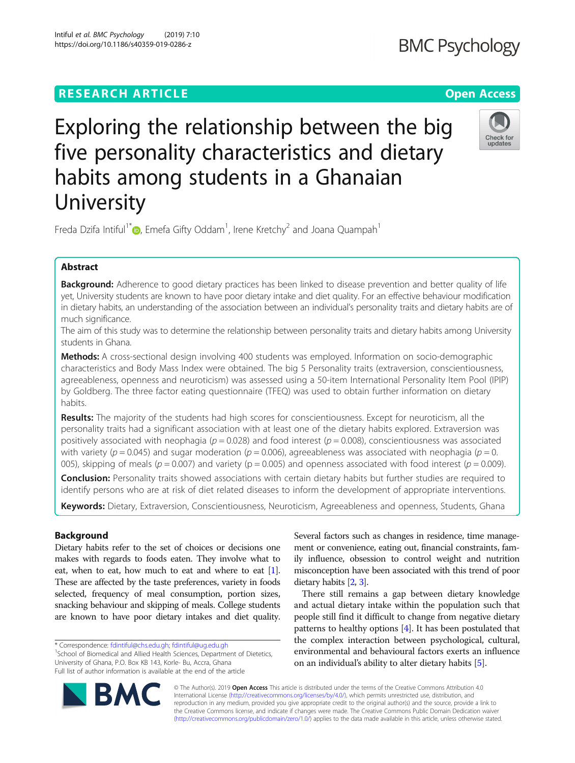# **RESEARCH ARTICLE Example 2018 12:30 THE Open Access**

Exploring the relationship between the big five personality characteristics and dietary habits among students in a Ghanaian **University** 

Freda Dzifa Intiful<sup>1\*</sup> $\bm{\odot}$ [,](http://orcid.org/0000-0002-5585-3487) Emefa Gifty Oddam<sup>1</sup>, Irene Kretchy<sup>2</sup> and Joana Quampah<sup>1</sup>

# Abstract

Background: Adherence to good dietary practices has been linked to disease prevention and better quality of life yet, University students are known to have poor dietary intake and diet quality. For an effective behaviour modification in dietary habits, an understanding of the association between an individual's personality traits and dietary habits are of much significance.

The aim of this study was to determine the relationship between personality traits and dietary habits among University students in Ghana.

Methods: A cross-sectional design involving 400 students was employed. Information on socio-demographic characteristics and Body Mass Index were obtained. The big 5 Personality traits (extraversion, conscientiousness, agreeableness, openness and neuroticism) was assessed using a 50-item International Personality Item Pool (IPIP) by Goldberg. The three factor eating questionnaire (TFEQ) was used to obtain further information on dietary habits.

Results: The majority of the students had high scores for conscientiousness. Except for neuroticism, all the personality traits had a significant association with at least one of the dietary habits explored. Extraversion was positively associated with neophagia ( $p = 0.028$ ) and food interest ( $p = 0.008$ ), conscientiousness was associated with variety ( $p = 0.045$ ) and sugar moderation ( $p = 0.006$ ), agreeableness was associated with neophagia ( $p = 0$ . 005), skipping of meals ( $p = 0.007$ ) and variety ( $p = 0.005$ ) and openness associated with food interest ( $p = 0.009$ ).

Conclusion: Personality traits showed associations with certain dietary habits but further studies are required to identify persons who are at risk of diet related diseases to inform the development of appropriate interventions.

Keywords: Dietary, Extraversion, Conscientiousness, Neuroticism, Agreeableness and openness, Students, Ghana

# Background

Dietary habits refer to the set of choices or decisions one makes with regards to foods eaten. They involve what to eat, when to eat, how much to eat and where to eat [[1](#page-5-0)]. These are affected by the taste preferences, variety in foods selected, frequency of meal consumption, portion sizes, snacking behaviour and skipping of meals. College students are known to have poor dietary intakes and diet quality.

\* Correspondence: [fdintiful@chs.edu.gh;](mailto:fdintiful@chs.edu.gh) [fdintiful@ug.edu.gh](mailto:fdintiful@ug.edu.gh) <sup>1</sup>

BA

<sup>1</sup>School of Biomedical and Allied Health Sciences, Department of Dietetics, University of Ghana, P.O. Box KB 143, Korle- Bu, Accra, Ghana Full list of author information is available at the end of the article

> © The Author(s). 2019 Open Access This article is distributed under the terms of the Creative Commons Attribution 4.0 International License [\(http://creativecommons.org/licenses/by/4.0/](http://creativecommons.org/licenses/by/4.0/)), which permits unrestricted use, distribution, and reproduction in any medium, provided you give appropriate credit to the original author(s) and the source, provide a link to the Creative Commons license, and indicate if changes were made. The Creative Commons Public Domain Dedication waiver [\(http://creativecommons.org/publicdomain/zero/1.0/](http://creativecommons.org/publicdomain/zero/1.0/)) applies to the data made available in this article, unless otherwise stated.

Several factors such as changes in residence, time management or convenience, eating out, financial constraints, family influence, obsession to control weight and nutrition misconception have been associated with this trend of poor dietary habits [[2](#page-5-0), [3\]](#page-5-0).

There still remains a gap between dietary knowledge and actual dietary intake within the population such that people still find it difficult to change from negative dietary patterns to healthy options  $[4]$  $[4]$  $[4]$ . It has been postulated that the complex interaction between psychological, cultural, environmental and behavioural factors exerts an influence on an individual's ability to alter dietary habits [\[5](#page-5-0)].

**BMC Psychology** 



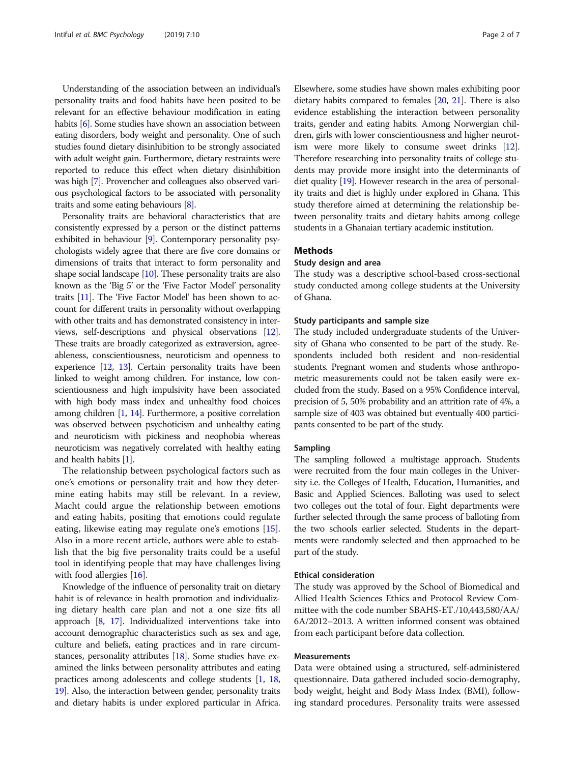Understanding of the association between an individual's personality traits and food habits have been posited to be relevant for an effective behaviour modification in eating habits [[6](#page-5-0)]. Some studies have shown an association between eating disorders, body weight and personality. One of such studies found dietary disinhibition to be strongly associated with adult weight gain. Furthermore, dietary restraints were reported to reduce this effect when dietary disinhibition was high [\[7\]](#page-5-0). Provencher and colleagues also observed various psychological factors to be associated with personality traits and some eating behaviours [\[8](#page-5-0)].

Personality traits are behavioral characteristics that are consistently expressed by a person or the distinct patterns exhibited in behaviour [\[9\]](#page-5-0). Contemporary personality psychologists widely agree that there are five core domains or dimensions of traits that interact to form personality and shape social landscape  $[10]$  $[10]$  $[10]$ . These personality traits are also known as the 'Big 5' or the 'Five Factor Model' personality traits [\[11](#page-5-0)]. The 'Five Factor Model' has been shown to account for different traits in personality without overlapping with other traits and has demonstrated consistency in interviews, self-descriptions and physical observations [\[12](#page-6-0)]. These traits are broadly categorized as extraversion, agreeableness, conscientiousness, neuroticism and openness to experience [[12,](#page-6-0) [13](#page-6-0)]. Certain personality traits have been linked to weight among children. For instance, low conscientiousness and high impulsivity have been associated with high body mass index and unhealthy food choices among children [\[1,](#page-5-0) [14](#page-6-0)]. Furthermore, a positive correlation was observed between psychoticism and unhealthy eating and neuroticism with pickiness and neophobia whereas neuroticism was negatively correlated with healthy eating and health habits [[1](#page-5-0)].

The relationship between psychological factors such as one's emotions or personality trait and how they determine eating habits may still be relevant. In a review, Macht could argue the relationship between emotions and eating habits, positing that emotions could regulate eating, likewise eating may regulate one's emotions [\[15](#page-6-0)]. Also in a more recent article, authors were able to establish that the big five personality traits could be a useful tool in identifying people that may have challenges living with food allergies [[16\]](#page-6-0).

Knowledge of the influence of personality trait on dietary habit is of relevance in health promotion and individualizing dietary health care plan and not a one size fits all approach [[8,](#page-5-0) [17\]](#page-6-0). Individualized interventions take into account demographic characteristics such as sex and age, culture and beliefs, eating practices and in rare circumstances, personality attributes [[18](#page-6-0)]. Some studies have examined the links between personality attributes and eating practices among adolescents and college students [[1](#page-5-0), [18](#page-6-0), [19](#page-6-0)]. Also, the interaction between gender, personality traits and dietary habits is under explored particular in Africa. Elsewhere, some studies have shown males exhibiting poor dietary habits compared to females [\[20,](#page-6-0) [21\]](#page-6-0). There is also evidence establishing the interaction between personality traits, gender and eating habits. Among Norwergian children, girls with lower conscientiousness and higher neurotism were more likely to consume sweet drinks [\[12](#page-6-0)]. Therefore researching into personality traits of college students may provide more insight into the determinants of diet quality [[19](#page-6-0)]. However research in the area of personality traits and diet is highly under explored in Ghana. This study therefore aimed at determining the relationship between personality traits and dietary habits among college students in a Ghanaian tertiary academic institution.

# **Methods**

# Study design and area

The study was a descriptive school-based cross-sectional study conducted among college students at the University of Ghana.

# Study participants and sample size

The study included undergraduate students of the University of Ghana who consented to be part of the study. Respondents included both resident and non-residential students. Pregnant women and students whose anthropometric measurements could not be taken easily were excluded from the study. Based on a 95% Confidence interval, precision of 5, 50% probability and an attrition rate of 4%, a sample size of 403 was obtained but eventually 400 participants consented to be part of the study.

### Sampling

The sampling followed a multistage approach. Students were recruited from the four main colleges in the University i.e. the Colleges of Health, Education, Humanities, and Basic and Applied Sciences. Balloting was used to select two colleges out the total of four. Eight departments were further selected through the same process of balloting from the two schools earlier selected. Students in the departments were randomly selected and then approached to be part of the study.

# Ethical consideration

The study was approved by the School of Biomedical and Allied Health Sciences Ethics and Protocol Review Committee with the code number SBAHS-ET./10,443,580/AA/ 6A/2012–2013. A written informed consent was obtained from each participant before data collection.

# Measurements

Data were obtained using a structured, self-administered questionnaire. Data gathered included socio-demography, body weight, height and Body Mass Index (BMI), following standard procedures. Personality traits were assessed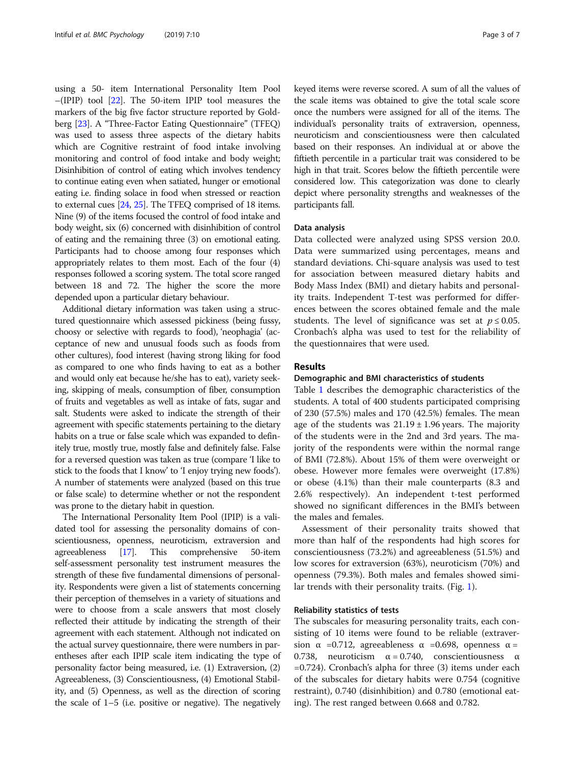using a 50- item International Personality Item Pool –(IPIP) tool [\[22\]](#page-6-0). The 50-item IPIP tool measures the markers of the big five factor structure reported by Goldberg [[23](#page-6-0)]. A "Three-Factor Eating Questionnaire" (TFEQ) was used to assess three aspects of the dietary habits which are Cognitive restraint of food intake involving monitoring and control of food intake and body weight; Disinhibition of control of eating which involves tendency to continue eating even when satiated, hunger or emotional eating i.e. finding solace in food when stressed or reaction to external cues [[24,](#page-6-0) [25](#page-6-0)]. The TFEQ comprised of 18 items. Nine (9) of the items focused the control of food intake and body weight, six (6) concerned with disinhibition of control of eating and the remaining three (3) on emotional eating. Participants had to choose among four responses which appropriately relates to them most. Each of the four (4) responses followed a scoring system. The total score ranged between 18 and 72. The higher the score the more depended upon a particular dietary behaviour.

Additional dietary information was taken using a structured questionnaire which assessed pickiness (being fussy, choosy or selective with regards to food), 'neophagia' (acceptance of new and unusual foods such as foods from other cultures), food interest (having strong liking for food as compared to one who finds having to eat as a bother and would only eat because he/she has to eat), variety seeking, skipping of meals, consumption of fiber, consumption of fruits and vegetables as well as intake of fats, sugar and salt. Students were asked to indicate the strength of their agreement with specific statements pertaining to the dietary habits on a true or false scale which was expanded to definitely true, mostly true, mostly false and definitely false. False for a reversed question was taken as true (compare 'I like to stick to the foods that I know' to 'I enjoy trying new foods'). A number of statements were analyzed (based on this true or false scale) to determine whether or not the respondent was prone to the dietary habit in question.

The International Personality Item Pool (IPIP) is a validated tool for assessing the personality domains of conscientiousness, openness, neuroticism, extraversion and agreeableness [\[17](#page-6-0)]. This comprehensive 50-item self-assessment personality test instrument measures the strength of these five fundamental dimensions of personality. Respondents were given a list of statements concerning their perception of themselves in a variety of situations and were to choose from a scale answers that most closely reflected their attitude by indicating the strength of their agreement with each statement. Although not indicated on the actual survey questionnaire, there were numbers in parentheses after each IPIP scale item indicating the type of personality factor being measured, i.e. (1) Extraversion, (2) Agreeableness, (3) Conscientiousness, (4) Emotional Stability, and (5) Openness, as well as the direction of scoring the scale of 1–5 (i.e. positive or negative). The negatively

keyed items were reverse scored. A sum of all the values of the scale items was obtained to give the total scale score once the numbers were assigned for all of the items. The individual's personality traits of extraversion, openness, neuroticism and conscientiousness were then calculated based on their responses. An individual at or above the fiftieth percentile in a particular trait was considered to be high in that trait. Scores below the fiftieth percentile were considered low. This categorization was done to clearly depict where personality strengths and weaknesses of the participants fall.

### Data analysis

Data collected were analyzed using SPSS version 20.0. Data were summarized using percentages, means and standard deviations. Chi-square analysis was used to test for association between measured dietary habits and Body Mass Index (BMI) and dietary habits and personality traits. Independent T-test was performed for differences between the scores obtained female and the male students. The level of significance was set at  $p \le 0.05$ . Cronbach's alpha was used to test for the reliability of the questionnaires that were used.

## Results

## Demographic and BMI characteristics of students

Table [1](#page-3-0) describes the demographic characteristics of the students. A total of 400 students participated comprising of 230 (57.5%) males and 170 (42.5%) females. The mean age of the students was  $21.19 \pm 1.96$  years. The majority of the students were in the 2nd and 3rd years. The majority of the respondents were within the normal range of BMI (72.8%). About 15% of them were overweight or obese. However more females were overweight (17.8%) or obese (4.1%) than their male counterparts (8.3 and 2.6% respectively). An independent t-test performed showed no significant differences in the BMI's between the males and females.

Assessment of their personality traits showed that more than half of the respondents had high scores for conscientiousness (73.2%) and agreeableness (51.5%) and low scores for extraversion (63%), neuroticism (70%) and openness (79.3%). Both males and females showed similar trends with their personality traits. (Fig. [1\)](#page-3-0).

# Reliability statistics of tests

The subscales for measuring personality traits, each consisting of 10 items were found to be reliable (extraversion  $\alpha$  =0.712, agreeableness  $\alpha$  =0.698, openness  $\alpha$  = 0.738, neuroticism  $\alpha = 0.740$ , conscientiousness α =0.724). Cronbach's alpha for three (3) items under each of the subscales for dietary habits were 0.754 (cognitive restraint), 0.740 (disinhibition) and 0.780 (emotional eating). The rest ranged between 0.668 and 0.782.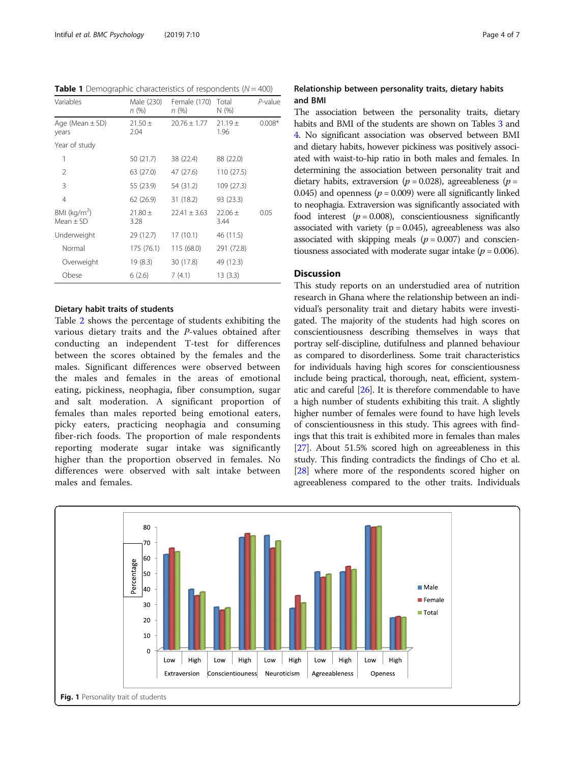<span id="page-3-0"></span>**Table 1** Demographic characteristics of respondents ( $N = 400$ )

| Variables                              | Male (230)<br>n(%)  | Female (170)<br>n (%) | Total<br>N(% )      | P-value  |
|----------------------------------------|---------------------|-----------------------|---------------------|----------|
| Age (Mean $\pm$ SD)<br>years           | $21.50 \pm$<br>2.04 | $20.76 \pm 1.77$      | $21.19 +$<br>1.96   | $0.008*$ |
| Year of study                          |                     |                       |                     |          |
| 1                                      | 50 (21.7)           | 38 (22.4)             | 88 (22.0)           |          |
| $\mathfrak{D}$                         | 63 (27.0)           | 47 (27.6)             | 110 (27.5)          |          |
| 3                                      | 55 (23.9)           | 54 (31.2)             | 109 (27.3)          |          |
| $\overline{4}$                         | 62 (26.9)           | 31 (18.2)             | 93 (23.3)           |          |
| BMI ( $\text{kg/m}^2$ )<br>$Mean + SD$ | $21.80 \pm$<br>3.28 | $22.41 + 3.63$        | $22.06 \pm$<br>3.44 | 0.05     |
| Underweight                            | 29 (12.7)           | 17(10.1)              | 46 (11.5)           |          |
| Normal                                 | 175 (76.1)          | 115 (68.0)            | 291 (72.8)          |          |
| Overweight                             | 19(8.3)             | 30 (17.8)             | 49 (12.3)           |          |
| Obese                                  | 6(2.6)              | 7(4.1)                | 13(3.3)             |          |

# Dietary habit traits of students

Table [2](#page-4-0) shows the percentage of students exhibiting the various dietary traits and the P-values obtained after conducting an independent T-test for differences between the scores obtained by the females and the males. Significant differences were observed between the males and females in the areas of emotional eating, pickiness, neophagia, fiber consumption, sugar and salt moderation. A significant proportion of females than males reported being emotional eaters, picky eaters, practicing neophagia and consuming fiber-rich foods. The proportion of male respondents reporting moderate sugar intake was significantly higher than the proportion observed in females. No differences were observed with salt intake between males and females.

# Relationship between personality traits, dietary habits and BMI

The association between the personality traits, dietary habits and BMI of the students are shown on Tables [3](#page-4-0) and [4](#page-4-0). No significant association was observed between BMI and dietary habits, however pickiness was positively associated with waist-to-hip ratio in both males and females. In determining the association between personality trait and dietary habits, extraversion ( $p = 0.028$ ), agreeableness ( $p =$ 0.045) and openness ( $p = 0.009$ ) were all significantly linked to neophagia. Extraversion was significantly associated with food interest  $(p = 0.008)$ , conscientiousness significantly associated with variety  $(p = 0.045)$ , agreeableness was also associated with skipping meals ( $p = 0.007$ ) and conscientiousness associated with moderate sugar intake ( $p = 0.006$ ).

# **Discussion**

This study reports on an understudied area of nutrition research in Ghana where the relationship between an individual's personality trait and dietary habits were investigated. The majority of the students had high scores on conscientiousness describing themselves in ways that portray self-discipline, dutifulness and planned behaviour as compared to disorderliness. Some trait characteristics for individuals having high scores for conscientiousness include being practical, thorough, neat, efficient, systematic and careful [\[26\]](#page-6-0). It is therefore commendable to have a high number of students exhibiting this trait. A slightly higher number of females were found to have high levels of conscientiousness in this study. This agrees with findings that this trait is exhibited more in females than males [[27](#page-6-0)]. About 51.5% scored high on agreeableness in this study. This finding contradicts the findings of Cho et al. [[28](#page-6-0)] where more of the respondents scored higher on agreeableness compared to the other traits. Individuals

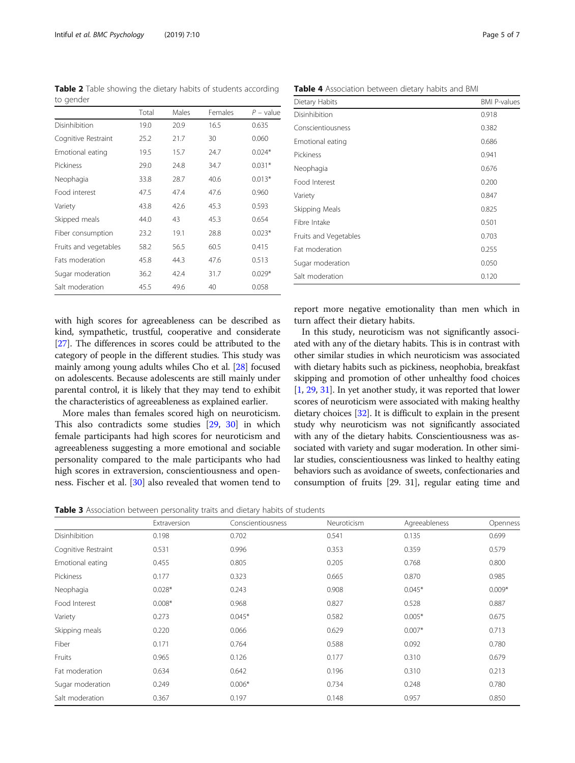with high scores for agreeableness can be described as kind, sympathetic, trustful, cooperative and considerate [[27](#page-6-0)]. The differences in scores could be attributed to the category of people in the different studies. This study was mainly among young adults whiles Cho et al. [\[28\]](#page-6-0) focused on adolescents. Because adolescents are still mainly under parental control, it is likely that they may tend to exhibit the characteristics of agreeableness as explained earlier.

More males than females scored high on neuroticism. This also contradicts some studies [[29](#page-6-0), [30\]](#page-6-0) in which female participants had high scores for neuroticism and agreeableness suggesting a more emotional and sociable personality compared to the male participants who had high scores in extraversion, conscientiousness and openness. Fischer et al. [\[30](#page-6-0)] also revealed that women tend to

Table 3 Association between personality traits and dietary habits of students

report more negative emotionality than men which in turn affect their dietary habits.

In this study, neuroticism was not significantly associated with any of the dietary habits. This is in contrast with other similar studies in which neuroticism was associated with dietary habits such as pickiness, neophobia, breakfast skipping and promotion of other unhealthy food choices [[1,](#page-5-0) [29](#page-6-0), [31\]](#page-6-0). In yet another study, it was reported that lower scores of neuroticism were associated with making healthy dietary choices [\[32\]](#page-6-0). It is difficult to explain in the present study why neuroticism was not significantly associated with any of the dietary habits. Conscientiousness was associated with variety and sugar moderation. In other similar studies, conscientiousness was linked to healthy eating behaviors such as avoidance of sweets, confectionaries and consumption of fruits [29. 31], regular eating time and

<span id="page-4-0"></span>

|                        | Total | Males | Females | $P$ – value |
|------------------------|-------|-------|---------|-------------|
| Disinhibition          | 19.0  | 20.9  | 16.5    | 0.635       |
| Cognitive Restraint    | 25.2  | 21.7  | 30      | 0.060       |
| Emotional eating       | 19.5  | 15.7  | 24.7    | $0.024*$    |
| Pickiness              | 29.0  | 24.8  | 34.7    | $0.031*$    |
| Neophagia              | 33.8  | 28.7  | 40.6    | $0.013*$    |
| Food interest          | 47.5  | 47.4  | 47.6    | 0.960       |
| Variety                | 43.8  | 42.6  | 45.3    | 0.593       |
| Skipped meals          | 44.0  | 43    | 45.3    | 0.654       |
| Fiber consumption      | 23.2  | 19.1  | 28.8    | $0.023*$    |
| Fruits and vegetables  | 58.2  | 56.5  | 60.5    | 0.415       |
| <b>Fats moderation</b> | 45.8  | 44.3  | 47.6    | 0.513       |
| Sugar moderation       | 36.2  | 42.4  | 31.7    | $0.029*$    |
| Salt moderation        | 45.5  | 49.6  | 40      | 0.058       |

Table 4 Association between dietary habits and BMI

Disinhibition 0.918 Conscientiousness 0.382 Emotional eating 0.686 Pickiness 0.941 Neophagia 0.676 Food Interest 0.200 Variety 0.847 Skipping Meals 6.825 Fibre Intake 0.501 Fruits and Vegetables 6.703 Fat moderation 6.255 Sugar moderation 0.050 Salt moderation 0.120

|                     | Extraversion | Conscientiousness | Neuroticism | Agreeableness | Openness |
|---------------------|--------------|-------------------|-------------|---------------|----------|
| Disinhibition       | 0.198        | 0.702             | 0.541       | 0.135         | 0.699    |
| Cognitive Restraint | 0.531        | 0.996             | 0.353       | 0.359         | 0.579    |
| Emotional eating    | 0.455        | 0.805             | 0.205       | 0.768         | 0.800    |
| Pickiness           | 0.177        | 0.323             | 0.665       | 0.870         | 0.985    |
| Neophagia           | $0.028*$     | 0.243             | 0.908       | $0.045*$      | $0.009*$ |
| Food Interest       | $0.008*$     | 0.968             | 0.827       | 0.528         | 0.887    |
| Variety             | 0.273        | $0.045*$          | 0.582       | $0.005*$      | 0.675    |
| Skipping meals      | 0.220        | 0.066             | 0.629       | $0.007*$      | 0.713    |
| Fiber               | 0.171        | 0.764             | 0.588       | 0.092         | 0.780    |
| Fruits              | 0.965        | 0.126             | 0.177       | 0.310         | 0.679    |
| Fat moderation      | 0.634        | 0.642             | 0.196       | 0.310         | 0.213    |
| Sugar moderation    | 0.249        | $0.006*$          | 0.734       | 0.248         | 0.780    |
| Salt moderation     | 0.367        | 0.197             | 0.148       | 0.957         | 0.850    |

to gender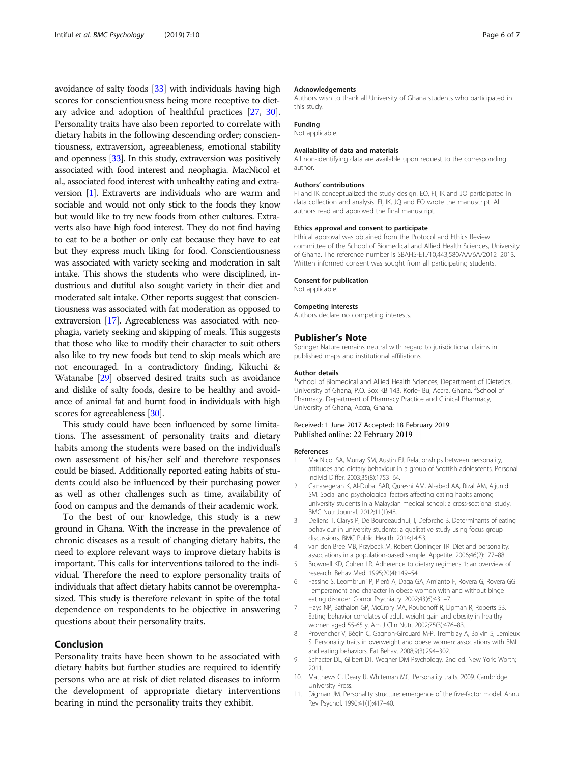<span id="page-5-0"></span>avoidance of salty foods [\[33\]](#page-6-0) with individuals having high scores for conscientiousness being more receptive to dietary advice and adoption of healthful practices [\[27,](#page-6-0) [30](#page-6-0)]. Personality traits have also been reported to correlate with dietary habits in the following descending order; conscientiousness, extraversion, agreeableness, emotional stability and openness [[33](#page-6-0)]. In this study, extraversion was positively associated with food interest and neophagia. MacNicol et al., associated food interest with unhealthy eating and extraversion [1]. Extraverts are individuals who are warm and sociable and would not only stick to the foods they know but would like to try new foods from other cultures. Extraverts also have high food interest. They do not find having to eat to be a bother or only eat because they have to eat but they express much liking for food. Conscientiousness was associated with variety seeking and moderation in salt intake. This shows the students who were disciplined, industrious and dutiful also sought variety in their diet and moderated salt intake. Other reports suggest that conscientiousness was associated with fat moderation as opposed to extraversion [\[17\]](#page-6-0). Agreeableness was associated with neophagia, variety seeking and skipping of meals. This suggests that those who like to modify their character to suit others also like to try new foods but tend to skip meals which are not encouraged. In a contradictory finding, Kikuchi & Watanabe [\[29](#page-6-0)] observed desired traits such as avoidance and dislike of salty foods, desire to be healthy and avoidance of animal fat and burnt food in individuals with high scores for agreeableness [[30](#page-6-0)].

This study could have been influenced by some limitations. The assessment of personality traits and dietary habits among the students were based on the individual's own assessment of his/her self and therefore responses could be biased. Additionally reported eating habits of students could also be influenced by their purchasing power as well as other challenges such as time, availability of food on campus and the demands of their academic work.

To the best of our knowledge, this study is a new ground in Ghana. With the increase in the prevalence of chronic diseases as a result of changing dietary habits, the need to explore relevant ways to improve dietary habits is important. This calls for interventions tailored to the individual. Therefore the need to explore personality traits of individuals that affect dietary habits cannot be overemphasized. This study is therefore relevant in spite of the total dependence on respondents to be objective in answering questions about their personality traits.

## Conclusion

Personality traits have been shown to be associated with dietary habits but further studies are required to identify persons who are at risk of diet related diseases to inform the development of appropriate dietary interventions bearing in mind the personality traits they exhibit.

#### Acknowledgements

Authors wish to thank all University of Ghana students who participated in this study.

## Funding

Not applicable.

## Availability of data and materials

All non-identifying data are available upon request to the corresponding author.

#### Authors' contributions

FI and IK conceptualized the study design. EO, FI, IK and JQ participated in data collection and analysis. FI, IK, JQ and EO wrote the manuscript. All authors read and approved the final manuscript.

#### Ethics approval and consent to participate

Ethical approval was obtained from the Protocol and Ethics Review committee of the School of Biomedical and Allied Health Sciences, University of Ghana. The reference number is SBAHS-ET./10,443,580/AA/6A/2012–2013. Written informed consent was sought from all participating students.

#### Consent for publication

Not applicable.

#### Competing interests

Authors declare no competing interests.

#### Publisher's Note

Springer Nature remains neutral with regard to jurisdictional claims in published maps and institutional affiliations.

#### Author details

<sup>1</sup>School of Biomedical and Allied Health Sciences, Department of Dietetics University of Ghana, P.O. Box KB 143, Korle- Bu, Accra, Ghana. <sup>2</sup>School of Pharmacy, Department of Pharmacy Practice and Clinical Pharmacy, University of Ghana, Accra, Ghana.

# Received: 1 June 2017 Accepted: 18 February 2019 Published online: 22 February 2019

#### References

- 1. MacNicol SA, Murray SM, Austin EJ. Relationships between personality, attitudes and dietary behaviour in a group of Scottish adolescents. Personal Individ Differ. 2003;35(8):1753–64.
- 2. Ganasegeran K, Al-Dubai SAR, Qureshi AM, Al-abed AA, Rizal AM, Aljunid SM. Social and psychological factors affecting eating habits among university students in a Malaysian medical school: a cross-sectional study. BMC Nutr Journal. 2012;11(1):48.
- 3. Deliens T, Clarys P, De Bourdeaudhuij I, Deforche B. Determinants of eating behaviour in university students: a qualitative study using focus group discussions. BMC Public Health. 2014;14:53.
- 4. van den Bree MB, Przybeck M, Robert Cloninger TR. Diet and personality: associations in a population-based sample. Appetite. 2006;46(2):177–88.
- 5. Brownell KD, Cohen LR. Adherence to dietary regimens 1: an overview of research. Behav Med. 1995;20(4):149–54.
- 6. Fassino S, Leombruni P, Pierò A, Daga GA, Amianto F, Rovera G, Rovera GG. Temperament and character in obese women with and without binge eating disorder. Compr Psychiatry. 2002;43(6):431–7.
- 7. Hays NP, Bathalon GP, McCrory MA, Roubenoff R, Lipman R, Roberts SB. Eating behavior correlates of adult weight gain and obesity in healthy women aged 55-65 y. Am J Clin Nutr. 2002;75(3):476–83.
- 8. Provencher V, Bégin C, Gagnon-Girouard M-P, Tremblay A, Boivin S, Lemieux S. Personality traits in overweight and obese women: associations with BMI and eating behaviors. Eat Behav. 2008;9(3):294–302.
- 9. Schacter DL, Gilbert DT. Wegner DM Psychology. 2nd ed. New York: Worth; 2011.
- 10. Matthews G, Deary IJ, Whiteman MC. Personality traits. 2009. Cambridge University Press.
- 11. Digman JM. Personality structure: emergence of the five-factor model. Annu Rev Psychol. 1990;41(1):417–40.